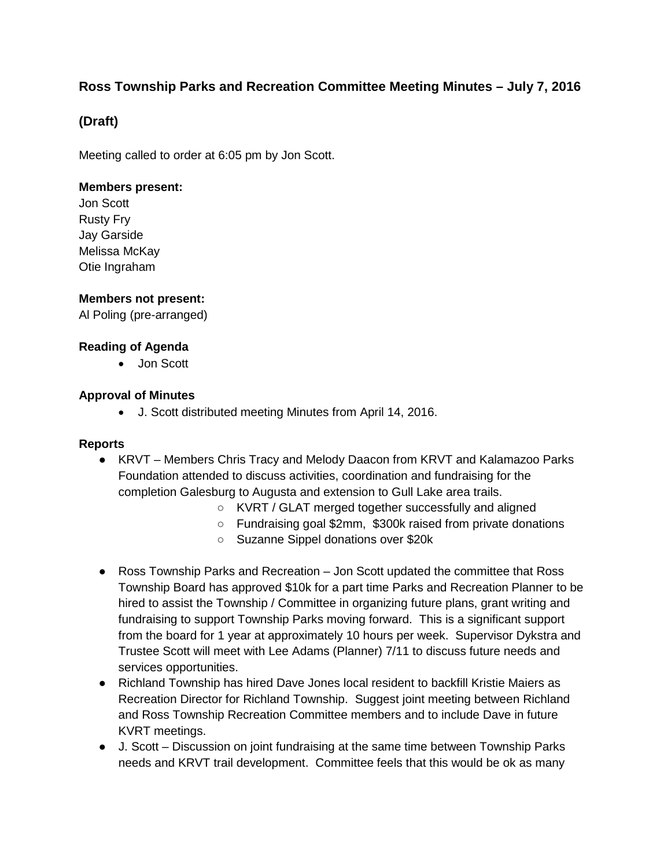# **Ross Township Parks and Recreation Committee Meeting Minutes – July 7, 2016**

# **(Draft)**

Meeting called to order at 6:05 pm by Jon Scott.

# **Members present:**

Jon Scott Rusty Fry Jay Garside Melissa McKay Otie Ingraham

# **Members not present:**

Al Poling (pre-arranged)

# **Reading of Agenda**

• Jon Scott

# **Approval of Minutes**

• J. Scott distributed meeting Minutes from April 14, 2016.

#### **Reports**

- KRVT Members Chris Tracy and Melody Daacon from KRVT and Kalamazoo Parks Foundation attended to discuss activities, coordination and fundraising for the completion Galesburg to Augusta and extension to Gull Lake area trails.
	- KVRT / GLAT merged together successfully and aligned
	- Fundraising goal \$2mm, \$300k raised from private donations
	- Suzanne Sippel donations over \$20k
- Ross Township Parks and Recreation Jon Scott updated the committee that Ross Township Board has approved \$10k for a part time Parks and Recreation Planner to be hired to assist the Township / Committee in organizing future plans, grant writing and fundraising to support Township Parks moving forward. This is a significant support from the board for 1 year at approximately 10 hours per week. Supervisor Dykstra and Trustee Scott will meet with Lee Adams (Planner) 7/11 to discuss future needs and services opportunities.
- Richland Township has hired Dave Jones local resident to backfill Kristie Maiers as Recreation Director for Richland Township. Suggest joint meeting between Richland and Ross Township Recreation Committee members and to include Dave in future KVRT meetings.
- J. Scott Discussion on joint fundraising at the same time between Township Parks needs and KRVT trail development. Committee feels that this would be ok as many